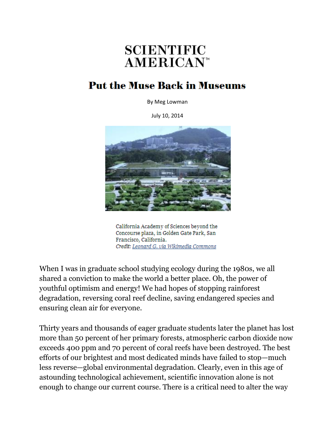## **SCIENTIFIC AMERICAN<sup>®</sup>**

## **Put the Muse Back in Museums**

By Meg Lowman

July 10, 2014



California Academy of Sciences beyond the Concourse plaza, in Golden Gate Park, San Francisco, California. Credit: Leonard G. via Wikimedia Commons

When I was in graduate school studying ecology during the 1980s, we all shared a conviction to make the world a better place. Oh, the power of youthful optimism and energy! We had hopes of stopping rainforest degradation, reversing coral reef decline, saving endangered species and ensuring clean air for everyone.

Thirty years and thousands of eager graduate students later the planet has lost more than 50 percent of her primary forests, atmospheric carbon dioxide now exceeds 400 ppm and 70 percent of coral reefs have been destroyed. The best efforts of our brightest and most dedicated minds have failed to stop—much less reverse—global environmental degradation. Clearly, even in this age of astounding technological achievement, scientific innovation alone is not enough to change our current course. There is a critical need to alter the way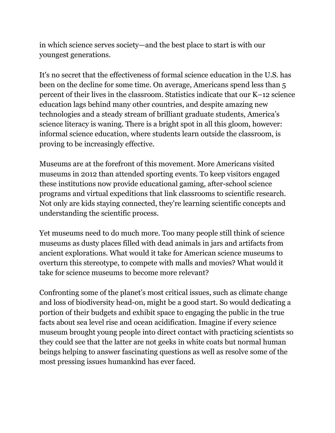in which science serves society—and the best place to start is with our youngest generations.

It's no secret that the effectiveness of formal science education in the U.S. has been on the decline for some time. On average, Americans spend less than 5 percent of their lives in the classroom. Statistics indicate that our K–12 science education lags behind many other countries, and despite amazing new technologies and a steady stream of brilliant graduate students, America's science literacy is waning. There is a bright spot in all this gloom, however: informal science education, where students learn outside the classroom, is proving to be increasingly effective.

Museums are at the forefront of this movement. More Americans visited museums in 2012 than attended sporting events. To keep visitors engaged these institutions now provide educational gaming, after-school science programs and virtual expeditions that link classrooms to scientific research. Not only are kids staying connected, they're learning scientific concepts and understanding the scientific process.

Yet museums need to do much more. Too many people still think of science museums as dusty places filled with dead animals in jars and artifacts from ancient explorations. What would it take for American science museums to overturn this stereotype, to compete with malls and movies? What would it take for science museums to become more relevant?

Confronting some of the planet's most critical issues, such as climate change and loss of biodiversity head-on, might be a good start. So would dedicating a portion of their budgets and exhibit space to engaging the public in the true facts about sea level rise and ocean acidification. Imagine if every science museum brought young people into direct contact with practicing scientists so they could see that the latter are not geeks in white coats but normal human beings helping to answer fascinating questions as well as resolve some of the most pressing issues humankind has ever faced.